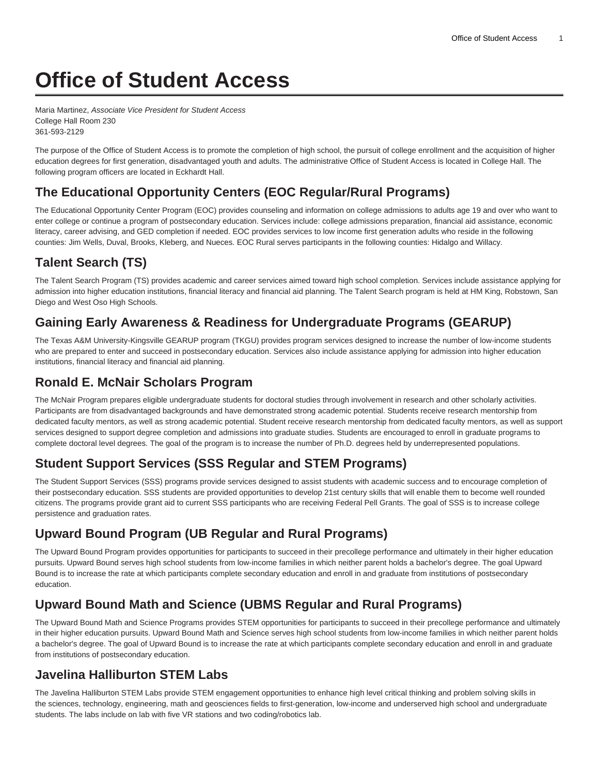# **Office of Student Access**

Maria Martinez, Associate Vice President for Student Access College Hall Room 230 361-593-2129

The purpose of the Office of Student Access is to promote the completion of high school, the pursuit of college enrollment and the acquisition of higher education degrees for first generation, disadvantaged youth and adults. The administrative Office of Student Access is located in College Hall. The following program officers are located in Eckhardt Hall.

# **The Educational Opportunity Centers (EOC Regular/Rural Programs)**

The Educational Opportunity Center Program (EOC) provides counseling and information on college admissions to adults age 19 and over who want to enter college or continue a program of postsecondary education. Services include: college admissions preparation, financial aid assistance, economic literacy, career advising, and GED completion if needed. EOC provides services to low income first generation adults who reside in the following counties: Jim Wells, Duval, Brooks, Kleberg, and Nueces. EOC Rural serves participants in the following counties: Hidalgo and Willacy.

# **Talent Search (TS)**

The Talent Search Program (TS) provides academic and career services aimed toward high school completion. Services include assistance applying for admission into higher education institutions, financial literacy and financial aid planning. The Talent Search program is held at HM King, Robstown, San Diego and West Oso High Schools.

# **Gaining Early Awareness & Readiness for Undergraduate Programs (GEARUP)**

The Texas A&M University-Kingsville GEARUP program (TKGU) provides program services designed to increase the number of low-income students who are prepared to enter and succeed in postsecondary education. Services also include assistance applying for admission into higher education institutions, financial literacy and financial aid planning.

#### **Ronald E. McNair Scholars Program**

The McNair Program prepares eligible undergraduate students for doctoral studies through involvement in research and other scholarly activities. Participants are from disadvantaged backgrounds and have demonstrated strong academic potential. Students receive research mentorship from dedicated faculty mentors, as well as strong academic potential. Student receive research mentorship from dedicated faculty mentors, as well as support services designed to support degree completion and admissions into graduate studies. Students are encouraged to enroll in graduate programs to complete doctoral level degrees. The goal of the program is to increase the number of Ph.D. degrees held by underrepresented populations.

#### **Student Support Services (SSS Regular and STEM Programs)**

The Student Support Services (SSS) programs provide services designed to assist students with academic success and to encourage completion of their postsecondary education. SSS students are provided opportunities to develop 21st century skills that will enable them to become well rounded citizens. The programs provide grant aid to current SSS participants who are receiving Federal Pell Grants. The goal of SSS is to increase college persistence and graduation rates.

#### **Upward Bound Program (UB Regular and Rural Programs)**

The Upward Bound Program provides opportunities for participants to succeed in their precollege performance and ultimately in their higher education pursuits. Upward Bound serves high school students from low-income families in which neither parent holds a bachelor's degree. The goal Upward Bound is to increase the rate at which participants complete secondary education and enroll in and graduate from institutions of postsecondary education.

#### **Upward Bound Math and Science (UBMS Regular and Rural Programs)**

The Upward Bound Math and Science Programs provides STEM opportunities for participants to succeed in their precollege performance and ultimately in their higher education pursuits. Upward Bound Math and Science serves high school students from low-income families in which neither parent holds a bachelor's degree. The goal of Upward Bound is to increase the rate at which participants complete secondary education and enroll in and graduate from institutions of postsecondary education.

#### **Javelina Halliburton STEM Labs**

The Javelina Halliburton STEM Labs provide STEM engagement opportunities to enhance high level critical thinking and problem solving skills in the sciences, technology, engineering, math and geosciences fields to first-generation, low-income and underserved high school and undergraduate students. The labs include on lab with five VR stations and two coding/robotics lab.